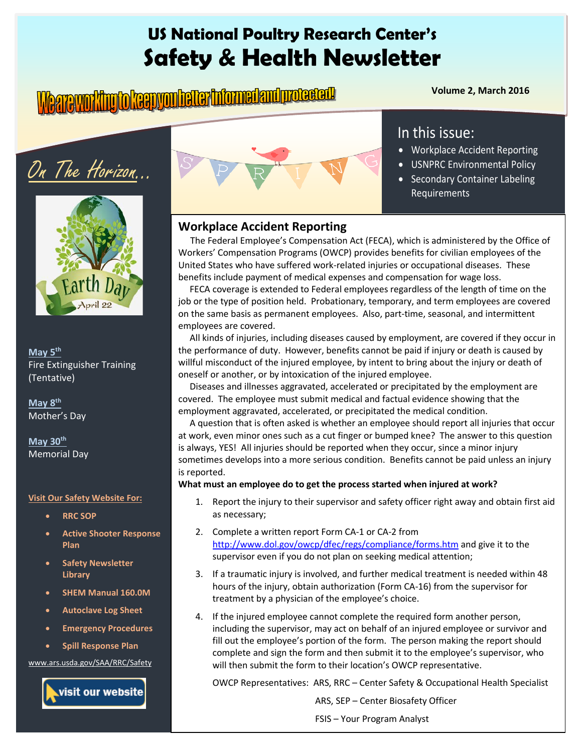## **US National Poultry Research Center's Safety & Health Newsletter**

# **Volume 2, March 2016** Volume 2, March 2016

• Workplace Accident Reporting • USNPRC Environmental Policy • Secondary Container Labeling

In this issue:

Requirements

# On The Horizon…



#### **May 5th** Fire Extinguisher Training (Tentative)

**May 8th** Mother's Day

**May 30th** Memorial Day

#### **Visit Our Safety Website For:**

- **RRC SOP**
- **Active Shooter Response Plan**
- **Safety Newsletter Library**
- **SHEM Manual 160.0M**
- **Autoclave Log Sheet**
- **Emergency Procedures**
- **Spill Response Plan**

[www.ars.usda.gov/SAA/RRC/Safety](http://www.ars.usda.gov/SAA/RRC/Safety)





#### **Workplace Accident Reporting**

 The Federal Employee's Compensation Act (FECA), which is administered by the Office of Workers' Compensation Programs (OWCP) provides benefits for civilian employees of the United States who have suffered work-related injuries or occupational diseases. These benefits include payment of medical expenses and compensation for wage loss.

 FECA coverage is extended to Federal employees regardless of the length of time on the job or the type of position held. Probationary, temporary, and term employees are covered on the same basis as permanent employees. Also, part-time, seasonal, and intermittent employees are covered.

 All kinds of injuries, including diseases caused by employment, are covered if they occur in the performance of duty. However, benefits cannot be paid if injury or death is caused by willful misconduct of the injured employee, by intent to bring about the injury or death of oneself or another, or by intoxication of the injured employee.

 Diseases and illnesses aggravated, accelerated or precipitated by the employment are covered. The employee must submit medical and factual evidence showing that the employment aggravated, accelerated, or precipitated the medical condition.

 A question that is often asked is whether an employee should report all injuries that occur at work, even minor ones such as a cut finger or bumped knee? The answer to this question is always, YES! All injuries should be reported when they occur, since a minor injury sometimes develops into a more serious condition. Benefits cannot be paid unless an injury is reported.

#### **What must an employee do to get the process started when injured at work?**

- 1. Report the injury to their supervisor and safety officer right away and obtain first aid as necessary;
- 2. Complete a written report Form CA-1 or CA-2 from <http://www.dol.gov/owcp/dfec/regs/compliance/forms.htm> and give it to the supervisor even if you do not plan on seeking medical attention;
- 3. If a traumatic injury is involved, and further medical treatment is needed within 48 hours of the injury, obtain authorization (Form CA-16) from the supervisor for treatment by a physician of the employee's choice.
- 4. If the injured employee cannot complete the required form another person, including the supervisor, may act on behalf of an injured employee or survivor and fill out the employee's portion of the form. The person making the report should complete and sign the form and then submit it to the employee's supervisor, who will then submit the form to their location's OWCP representative.

OWCP Representatives: ARS, RRC – Center Safety & Occupational Health Specialist

ARS, SEP – Center Biosafety Officer

FSIS – Your Program Analyst